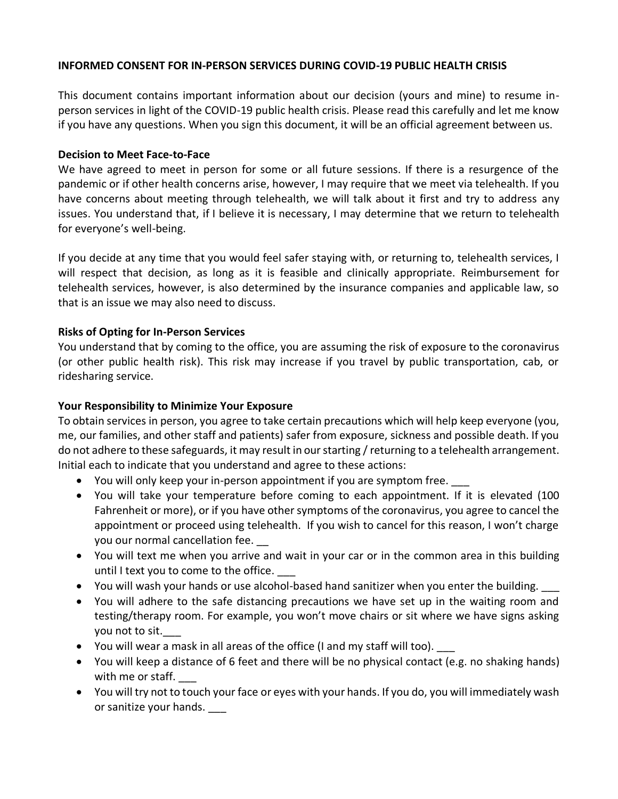### **INFORMED CONSENT FOR IN-PERSON SERVICES DURING COVID-19 PUBLIC HEALTH CRISIS**

This document contains important information about our decision (yours and mine) to resume inperson services in light of the COVID-19 public health crisis. Please read this carefully and let me know if you have any questions. When you sign this document, it will be an official agreement between us.

#### **Decision to Meet Face-to-Face**

We have agreed to meet in person for some or all future sessions. If there is a resurgence of the pandemic or if other health concerns arise, however, I may require that we meet via telehealth. If you have concerns about meeting through telehealth, we will talk about it first and try to address any issues. You understand that, if I believe it is necessary, I may determine that we return to telehealth for everyone's well-being.

If you decide at any time that you would feel safer staying with, or returning to, telehealth services, I will respect that decision, as long as it is feasible and clinically appropriate. Reimbursement for telehealth services, however, is also determined by the insurance companies and applicable law, so that is an issue we may also need to discuss.

## **Risks of Opting for In-Person Services**

You understand that by coming to the office, you are assuming the risk of exposure to the coronavirus (or other public health risk). This risk may increase if you travel by public transportation, cab, or ridesharing service.

## **Your Responsibility to Minimize Your Exposure**

To obtain services in person, you agree to take certain precautions which will help keep everyone (you, me, our families, and other staff and patients) safer from exposure, sickness and possible death. If you do not adhere to these safeguards, it may result in our starting / returning to a telehealth arrangement. Initial each to indicate that you understand and agree to these actions:

- You will only keep your in-person appointment if you are symptom free.
- You will take your temperature before coming to each appointment. If it is elevated (100 Fahrenheit or more), or if you have other symptoms of the coronavirus, you agree to cancel the appointment or proceed using telehealth. If you wish to cancel for this reason, I won't charge you our normal cancellation fee.
- You will text me when you arrive and wait in your car or in the common area in this building until I text you to come to the office.
- You will wash your hands or use alcohol-based hand sanitizer when you enter the building.
- You will adhere to the safe distancing precautions we have set up in the waiting room and testing/therapy room. For example, you won't move chairs or sit where we have signs asking you not to sit.
- You will wear a mask in all areas of the office (I and my staff will too).
- You will keep a distance of 6 feet and there will be no physical contact (e.g. no shaking hands) with me or staff.
- You will try not to touch your face or eyes with your hands. If you do, you will immediately wash or sanitize your hands.